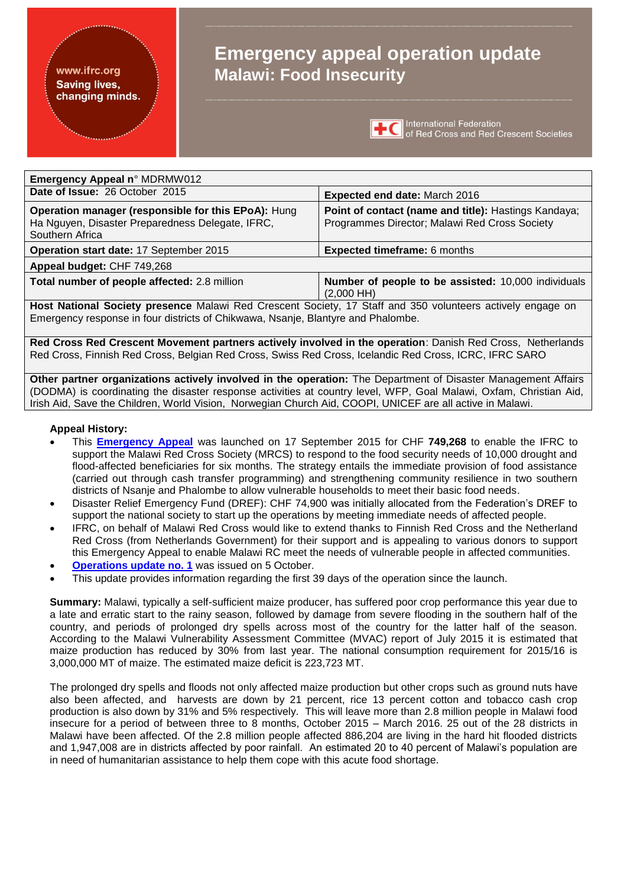#### www.ifrc.org **Saving lives,** changing minds.

# **Emergency appeal operation update Malawi: Food Insecurity**



International Federation<br> **TC** of Red Cross and Red Crescent Societies

| <b>Emergency Appeal n° MDRMW012</b>                                                                                        |                                                                                                       |  |
|----------------------------------------------------------------------------------------------------------------------------|-------------------------------------------------------------------------------------------------------|--|
| Date of Issue: 26 October 2015                                                                                             | <b>Expected end date: March 2016</b>                                                                  |  |
| Operation manager (responsible for this EPoA): Hung<br>Ha Nguyen, Disaster Preparedness Delegate, IFRC,<br>Southern Africa | Point of contact (name and title): Hastings Kandaya;<br>Programmes Director; Malawi Red Cross Society |  |
| Operation start date: 17 September 2015                                                                                    | <b>Expected timeframe: 6 months</b>                                                                   |  |
| Appeal budget: CHF 749,268                                                                                                 |                                                                                                       |  |
| Total number of people affected: 2.8 million                                                                               | Number of people to be assisted: 10,000 individuals<br>$(2,000$ HH)                                   |  |

**Host National Society presence** Malawi Red Crescent Society, 17 Staff and 350 volunteers actively engage on Emergency response in four districts of Chikwawa, Nsanje, Blantyre and Phalombe.

**Red Cross Red Crescent Movement partners actively involved in the operation**: Danish Red Cross, Netherlands Red Cross, Finnish Red Cross, Belgian Red Cross, Swiss Red Cross, Icelandic Red Cross, ICRC, IFRC SARO

**Other partner organizations actively involved in the operation:** The Department of Disaster Management Affairs (DODMA) is coordinating the disaster response activities at country level, WFP, Goal Malawi, Oxfam, Christian Aid, Irish Aid, Save the Children, World Vision, Norwegian Church Aid, COOPI, UNICEF are all active in Malawi.

#### **Appeal History:**

- This **[Emergency Appeal](http://adore.ifrc.org/Download.aspx?FileId=97961)** was launched on 17 September 2015 for CHF **749,268** to enable the IFRC to support the Malawi Red Cross Society (MRCS) to respond to the food security needs of 10,000 drought and flood-affected beneficiaries for six months. The strategy entails the immediate provision of food assistance (carried out through cash transfer programming) and strengthening community resilience in two southern districts of Nsanje and Phalombe to allow vulnerable households to meet their basic food needs.
- Disaster Relief Emergency Fund (DREF): CHF 74,900 was initially allocated from the Federation's DREF to support the national society to start up the operations by meeting immediate needs of affected people.
- IFRC, on behalf of Malawi Red Cross would like to extend thanks to Finnish Red Cross and the Netherland Red Cross (from Netherlands Government) for their support and is appealing to various donors to support this Emergency Appeal to enable Malawi RC meet the needs of vulnerable people in affected communities.
- **[Operations update](http://adore.ifrc.org/Download.aspx?FileId=100252) no. 1** was issued on 5 October.
- This update provides information regarding the first 39 days of the operation since the launch.

**Summary:** Malawi, typically a self-sufficient maize producer, has suffered poor crop performance this year due to a late and erratic start to the rainy season, followed by damage from severe flooding in the southern half of the country, and periods of prolonged dry spells across most of the country for the latter half of the season. According to the Malawi Vulnerability Assessment Committee (MVAC) report of July 2015 it is estimated that maize production has reduced by 30% from last year. The national consumption requirement for 2015/16 is 3,000,000 MT of maize. The estimated maize deficit is 223,723 MT.

The prolonged dry spells and floods not only affected maize production but other crops such as ground nuts have also been affected, and harvests are down by 21 percent, rice 13 percent cotton and tobacco cash crop production is also down by 31% and 5% respectively. This will leave more than 2.8 million people in Malawi food insecure for a period of between three to 8 months, October 2015 – March 2016. 25 out of the 28 districts in Malawi have been affected. Of the 2.8 million people affected 886,204 are living in the hard hit flooded districts and 1,947,008 are in districts affected by poor rainfall. An estimated 20 to 40 percent of Malawi's population are in need of humanitarian assistance to help them cope with this acute food shortage.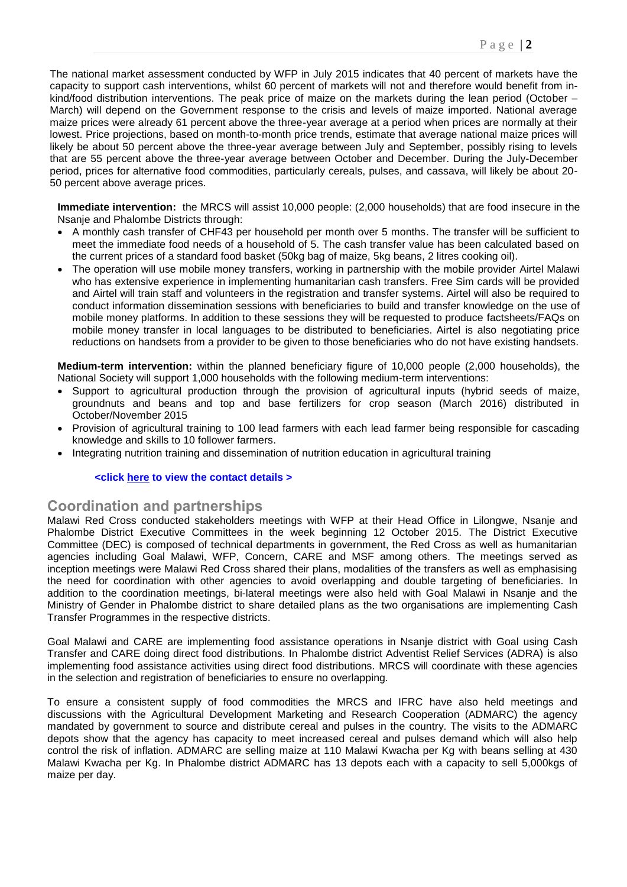The national market assessment conducted by WFP in July 2015 indicates that 40 percent of markets have the capacity to support cash interventions, whilst 60 percent of markets will not and therefore would benefit from inkind/food distribution interventions. The peak price of maize on the markets during the lean period (October – March) will depend on the Government response to the crisis and levels of maize imported. National average maize prices were already 61 percent above the three-year average at a period when prices are normally at their lowest. Price projections, based on month-to-month price trends, estimate that average national maize prices will likely be about 50 percent above the three-year average between July and September, possibly rising to levels that are 55 percent above the three-year average between October and December. During the July-December period, prices for alternative food commodities, particularly cereals, pulses, and cassava, will likely be about 20- 50 percent above average prices.

**Immediate intervention:** the MRCS will assist 10,000 people: (2,000 households) that are food insecure in the Nsanje and Phalombe Districts through:

- A monthly cash transfer of CHF43 per household per month over 5 months. The transfer will be sufficient to meet the immediate food needs of a household of 5. The cash transfer value has been calculated based on the current prices of a standard food basket (50kg bag of maize, 5kg beans, 2 litres cooking oil).
- The operation will use mobile money transfers, working in partnership with the mobile provider Airtel Malawi who has extensive experience in implementing humanitarian cash transfers. Free Sim cards will be provided and Airtel will train staff and volunteers in the registration and transfer systems. Airtel will also be required to conduct information dissemination sessions with beneficiaries to build and transfer knowledge on the use of mobile money platforms. In addition to these sessions they will be requested to produce factsheets/FAQs on mobile money transfer in local languages to be distributed to beneficiaries. Airtel is also negotiating price reductions on handsets from a provider to be given to those beneficiaries who do not have existing handsets.

**Medium-term intervention:** within the planned beneficiary figure of 10,000 people (2,000 households), the National Society will support 1,000 households with the following medium-term interventions:

- Support to agricultural production through the provision of agricultural inputs (hybrid seeds of maize, groundnuts and beans and top and base fertilizers for crop season (March 2016) distributed in October/November 2015
- Provision of agricultural training to 100 lead farmers with each lead farmer being responsible for cascading knowledge and skills to 10 follower farmers.
- Integrating nutrition training and dissemination of nutrition education in agricultural training

#### **<click here to view the contact details >**

#### **Coordination and partnerships**

Malawi Red Cross conducted stakeholders meetings with WFP at their Head Office in Lilongwe, Nsanje and Phalombe District Executive Committees in the week beginning 12 October 2015. The District Executive Committee (DEC) is composed of technical departments in government, the Red Cross as well as humanitarian agencies including Goal Malawi, WFP, Concern, CARE and MSF among others. The meetings served as inception meetings were Malawi Red Cross shared their plans, modalities of the transfers as well as emphasising the need for coordination with other agencies to avoid overlapping and double targeting of beneficiaries. In addition to the coordination meetings, bi-lateral meetings were also held with Goal Malawi in Nsanje and the Ministry of Gender in Phalombe district to share detailed plans as the two organisations are implementing Cash Transfer Programmes in the respective districts.

Goal Malawi and CARE are implementing food assistance operations in Nsanje district with Goal using Cash Transfer and CARE doing direct food distributions. In Phalombe district Adventist Relief Services (ADRA) is also implementing food assistance activities using direct food distributions. MRCS will coordinate with these agencies in the selection and registration of beneficiaries to ensure no overlapping.

To ensure a consistent supply of food commodities the MRCS and IFRC have also held meetings and discussions with the Agricultural Development Marketing and Research Cooperation (ADMARC) the agency mandated by government to source and distribute cereal and pulses in the country. The visits to the ADMARC depots show that the agency has capacity to meet increased cereal and pulses demand which will also help control the risk of inflation. ADMARC are selling maize at 110 Malawi Kwacha per Kg with beans selling at 430 Malawi Kwacha per Kg. In Phalombe district ADMARC has 13 depots each with a capacity to sell 5,000kgs of maize per day.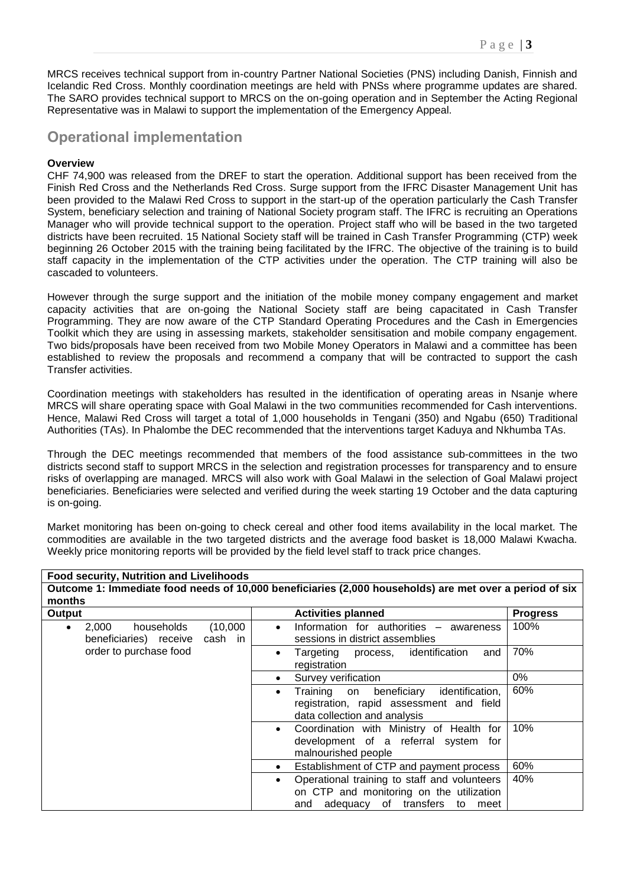MRCS receives technical support from in-country Partner National Societies (PNS) including Danish, Finnish and Icelandic Red Cross. Monthly coordination meetings are held with PNSs where programme updates are shared. The SARO provides technical support to MRCS on the on-going operation and in September the Acting Regional Representative was in Malawi to support the implementation of the Emergency Appeal.

## **Operational implementation**

#### **Overview**

CHF 74,900 was released from the DREF to start the operation. Additional support has been received from the Finish Red Cross and the Netherlands Red Cross. Surge support from the IFRC Disaster Management Unit has been provided to the Malawi Red Cross to support in the start-up of the operation particularly the Cash Transfer System, beneficiary selection and training of National Society program staff. The IFRC is recruiting an Operations Manager who will provide technical support to the operation. Project staff who will be based in the two targeted districts have been recruited. 15 National Society staff will be trained in Cash Transfer Programming (CTP) week beginning 26 October 2015 with the training being facilitated by the IFRC. The objective of the training is to build staff capacity in the implementation of the CTP activities under the operation. The CTP training will also be cascaded to volunteers.

However through the surge support and the initiation of the mobile money company engagement and market capacity activities that are on-going the National Society staff are being capacitated in Cash Transfer Programming. They are now aware of the CTP Standard Operating Procedures and the Cash in Emergencies Toolkit which they are using in assessing markets, stakeholder sensitisation and mobile company engagement. Two bids/proposals have been received from two Mobile Money Operators in Malawi and a committee has been established to review the proposals and recommend a company that will be contracted to support the cash Transfer activities.

Coordination meetings with stakeholders has resulted in the identification of operating areas in Nsanje where MRCS will share operating space with Goal Malawi in the two communities recommended for Cash interventions. Hence, Malawi Red Cross will target a total of 1,000 households in Tengani (350) and Ngabu (650) Traditional Authorities (TAs). In Phalombe the DEC recommended that the interventions target Kaduya and Nkhumba TAs.

Through the DEC meetings recommended that members of the food assistance sub-committees in the two districts second staff to support MRCS in the selection and registration processes for transparency and to ensure risks of overlapping are managed. MRCS will also work with Goal Malawi in the selection of Goal Malawi project beneficiaries. Beneficiaries were selected and verified during the week starting 19 October and the data capturing is on-going.

Market monitoring has been on-going to check cereal and other food items availability in the local market. The commodities are available in the two targeted districts and the average food basket is 18,000 Malawi Kwacha. Weekly price monitoring reports will be provided by the field level staff to track price changes.

| <b>Food security, Nutrition and Livelihoods</b>                                                                   |                                                                                                                                                     |                 |  |  |
|-------------------------------------------------------------------------------------------------------------------|-----------------------------------------------------------------------------------------------------------------------------------------------------|-----------------|--|--|
| Outcome 1: Immediate food needs of 10,000 beneficiaries (2,000 households) are met over a period of six<br>months |                                                                                                                                                     |                 |  |  |
| Output                                                                                                            | <b>Activities planned</b>                                                                                                                           | <b>Progress</b> |  |  |
| 2,000<br>(10,000)<br>households<br>$\bullet$<br>cash in<br>beneficiaries) receive                                 | Information for authorities - awareness<br>$\bullet$<br>sessions in district assemblies                                                             | 100%            |  |  |
| order to purchase food                                                                                            | Targeting process, identification<br>and<br>$\bullet$<br>registration                                                                               | 70%             |  |  |
|                                                                                                                   | Survey verification<br>$\bullet$                                                                                                                    | $0\%$           |  |  |
|                                                                                                                   | identification,<br>beneficiary<br>Training on<br>$\bullet$<br>registration, rapid assessment and field<br>data collection and analysis              | 60%             |  |  |
|                                                                                                                   | Coordination with Ministry of Health for<br>$\bullet$<br>development of a referral system<br>for<br>malnourished people                             | 10%             |  |  |
|                                                                                                                   | Establishment of CTP and payment process<br>$\bullet$                                                                                               | 60%             |  |  |
|                                                                                                                   | Operational training to staff and volunteers<br>$\bullet$<br>on CTP and monitoring on the utilization<br>adequacy of transfers<br>to<br>and<br>meet | 40%             |  |  |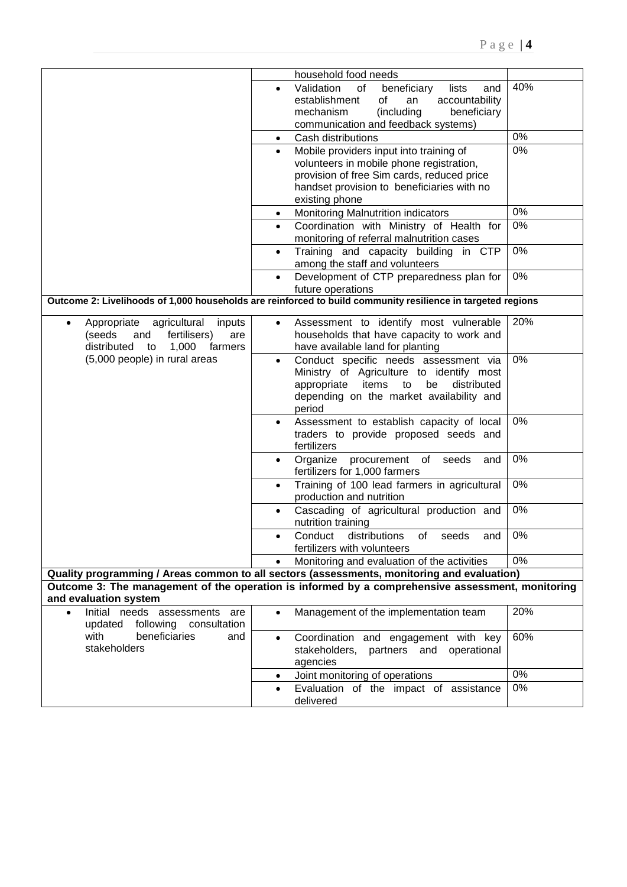|                                                                                                                                     | household food needs                                                                                                                                                                                           |     |  |
|-------------------------------------------------------------------------------------------------------------------------------------|----------------------------------------------------------------------------------------------------------------------------------------------------------------------------------------------------------------|-----|--|
|                                                                                                                                     | Validation<br>of<br>beneficiary<br>lists<br>and<br>$\bullet$<br>accountability<br>establishment<br>of<br>an<br>(including<br>beneficiary<br>mechanism                                                          | 40% |  |
|                                                                                                                                     | communication and feedback systems)                                                                                                                                                                            |     |  |
|                                                                                                                                     | Cash distributions<br>$\bullet$                                                                                                                                                                                | 0%  |  |
|                                                                                                                                     | Mobile providers input into training of<br>$\bullet$<br>volunteers in mobile phone registration,<br>provision of free Sim cards, reduced price<br>handset provision to beneficiaries with no<br>existing phone | 0%  |  |
|                                                                                                                                     | Monitoring Malnutrition indicators<br>$\bullet$                                                                                                                                                                | 0%  |  |
|                                                                                                                                     | Coordination with Ministry of Health for<br>$\bullet$<br>monitoring of referral malnutrition cases                                                                                                             | 0%  |  |
|                                                                                                                                     | Training and capacity building in CTP<br>$\bullet$<br>among the staff and volunteers                                                                                                                           | 0%  |  |
|                                                                                                                                     | Development of CTP preparedness plan for<br>$\bullet$<br>future operations                                                                                                                                     | 0%  |  |
| Outcome 2: Livelihoods of 1,000 households are reinforced to build community resilience in targeted regions                         |                                                                                                                                                                                                                |     |  |
| Appropriate<br>agricultural<br>inputs<br>$\bullet$<br>(seeds<br>fertilisers)<br>and<br>are<br>distributed<br>1,000<br>to<br>farmers | Assessment to identify most vulnerable<br>$\bullet$<br>households that have capacity to work and<br>have available land for planting                                                                           | 20% |  |
| (5,000 people) in rural areas                                                                                                       | Conduct specific needs assessment via<br>$\bullet$<br>Ministry of Agriculture to identify most<br>items<br>distributed<br>appropriate<br>to<br>be<br>depending on the market availability and<br>period        | 0%  |  |
|                                                                                                                                     | Assessment to establish capacity of local<br>$\bullet$<br>traders to provide proposed seeds and<br>fertilizers                                                                                                 | 0%  |  |
|                                                                                                                                     | Organize<br>procurement of<br>seeds<br>and<br>$\bullet$<br>fertilizers for 1,000 farmers                                                                                                                       | 0%  |  |
|                                                                                                                                     | Training of 100 lead farmers in agricultural<br>$\bullet$<br>production and nutrition                                                                                                                          | 0%  |  |
|                                                                                                                                     | Cascading of agricultural production and<br>$\bullet$<br>nutrition training                                                                                                                                    | 0%  |  |
|                                                                                                                                     | distributions<br>Conduct<br>seeds<br>of<br>and<br>$\bullet$<br>fertilizers with volunteers                                                                                                                     | 0%  |  |
|                                                                                                                                     | Monitoring and evaluation of the activities<br>$\bullet$                                                                                                                                                       | 0%  |  |
|                                                                                                                                     | Quality programming / Areas common to all sectors (assessments, monitoring and evaluation)<br>Outcome 3: The management of the operation is informed by a comprehensive assessment, monitoring                 |     |  |
| and evaluation system                                                                                                               |                                                                                                                                                                                                                |     |  |
| Initial needs assessments are<br>$\bullet$<br>updated<br>following<br>consultation                                                  | Management of the implementation team<br>$\bullet$                                                                                                                                                             | 20% |  |
| beneficiaries<br>with<br>and<br>stakeholders                                                                                        | Coordination and engagement with key<br>$\bullet$<br>stakeholders,<br>partners and operational<br>agencies                                                                                                     | 60% |  |
|                                                                                                                                     | Joint monitoring of operations<br>$\bullet$                                                                                                                                                                    | 0%  |  |
|                                                                                                                                     | Evaluation of the impact of assistance<br>$\bullet$<br>delivered                                                                                                                                               | 0%  |  |